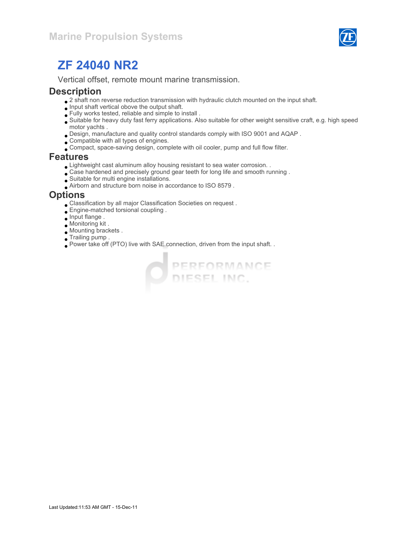

# ZF 24040 NR2

Vertical offset, remote mount marine transmission.

#### **Description**

- $\bullet$  2 shaft non reverse reduction transmission with hydraulic clutch mounted on the input shaft.
- $\bullet$  Input shaft vertical obove the output shaft.
- Fully works tested, reliable and simple to install .
- Suitable for heavy duty fast ferry applications. Also suitable for other weight sensitive craft, e.g. high speed motor yachts .
- Design, manufacture and quality control standards comply with ISO 9001 and AQAP .
- Compatible with all types of engines.
- Compact, space-saving design, complete with oil cooler, pump and full flow filter.

#### Features

- Lightweight cast aluminum alloy housing resistant to sea water corrosion. .
- Case hardened and precisely ground gear teeth for long life and smooth running .
- Suitable for multi engine installations.
- Airborn and structure born noise in accordance to ISO 8579 .

#### **Options**

- Classification by all major Classification Societies on request .
- Engine-matched torsional coupling .
- Input flange .
- Monitoring kit .
- Mounting brackets .
- Trailing pump .
- Power take off (PTO) live with SAE connection, driven from the input shaft. .

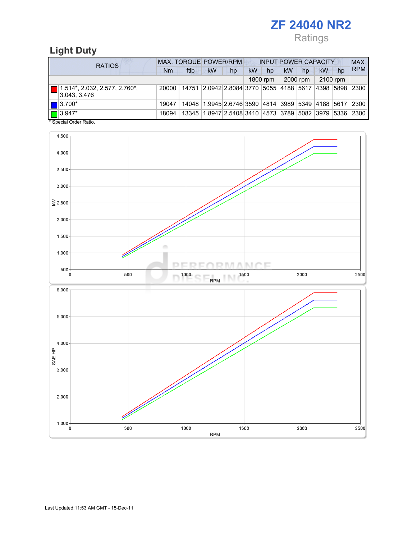## ZF 24040 NR2 Ratings

## Light Duty

| <b>RATIOS</b>                                                | MAX. TORQUE POWER/RPM |       |                                                        |    | <b>INPUT POWER CAPACITY</b> |          |           |          |             |    | MAX.           |
|--------------------------------------------------------------|-----------------------|-------|--------------------------------------------------------|----|-----------------------------|----------|-----------|----------|-------------|----|----------------|
|                                                              | Nm                    | ftlb  | <b>kW</b>                                              | hp | <b>kW</b>                   | hp       | <b>kW</b> | hp       | kW          | hp | <b>RPM</b>     |
|                                                              |                       |       |                                                        |    |                             | 1800 rpm |           | 2000 rpm | 2100 rpm    |    |                |
| $\blacksquare$ 1.514*, 2.032, 2.577, 2.760*,<br>3.043, 3.476 | 20000                 | 14751 | 2.0942 2.8084 3770 5055 4188 5617                      |    |                             |          |           |          | 4398   5898 |    | 2300           |
| $\blacksquare$ 3.700*                                        | 19047                 |       | 14048 1.9945 2.6746 3590 4814 3989 5349 4188 5617      |    |                             |          |           |          |             |    | $ 2300\rangle$ |
| $\Box$ 3.947*<br>$*$ Consider Order Detter                   | 18094                 |       | 13345 1.8947 2.5408 3410 4573 3789 5082 3979 5336 2300 |    |                             |          |           |          |             |    |                |

Special Order Ratio.

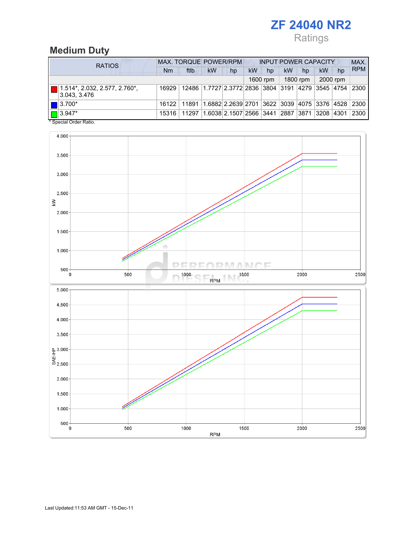## ZF 24040 NR2 Ratings

### Medium Duty

| <b>RATIOS</b>                                        | MAX. TORQUE POWER/RPM |                                                              |                                                                   |                                        |           | <b>INPUT POWER CAPACITY</b> |           |          |          |      |            |
|------------------------------------------------------|-----------------------|--------------------------------------------------------------|-------------------------------------------------------------------|----------------------------------------|-----------|-----------------------------|-----------|----------|----------|------|------------|
|                                                      | Nm                    | ftlb                                                         | <b>kW</b>                                                         | hp                                     | <b>kW</b> | hp                          | <b>kW</b> | hp       | kW       | hp   | <b>RPM</b> |
|                                                      |                       |                                                              |                                                                   |                                        |           | 1600 rpm                    |           | 1800 rpm | 2000 rpm |      |            |
| $\Box$ 1.514*, 2.032, 2.577, 2.760*,<br>3.043, 3.476 | 16929                 |                                                              | 12486   1.7727   2.3772   2836   3804   3191   4279   3545   4754 |                                        |           |                             |           |          |          |      | 2300       |
| $\blacksquare$ 3.700*                                |                       | 16122 11891 1.6882 2.2639 2701 3622 3039 4075 3376 4528 2300 |                                                                   |                                        |           |                             |           |          |          |      |            |
| $\Box$ 3.947*<br>$*$ Consider Dation                 | 15316                 | 11297                                                        |                                                                   | 1.6038 2.1507 2566 3441 2887 3871 3208 |           |                             |           |          |          | 4301 | 2300       |



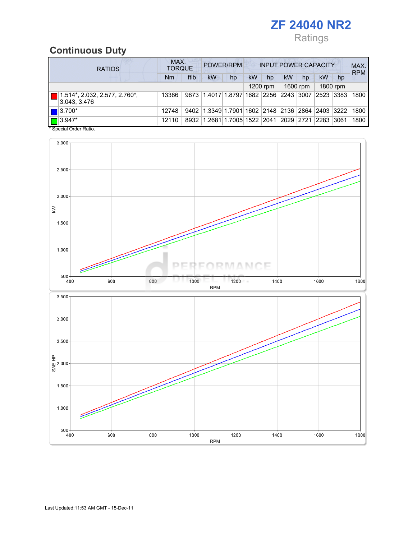## ZF 24040 NR2 Ratings

#### Continuous Duty

| <b>RATIOS</b> |                                                       | MAX.<br>POWER/RPM<br><b>INPUT POWER CAPACITY</b><br><b>TORQUE</b> |      |                                                  |    |           |          |    |          |    |          |            |
|---------------|-------------------------------------------------------|-------------------------------------------------------------------|------|--------------------------------------------------|----|-----------|----------|----|----------|----|----------|------------|
|               |                                                       | Nm                                                                | ftlb | <b>kW</b>                                        | hp | <b>kW</b> | hp       | kW | hp       | kW | hp       | <b>RPM</b> |
|               |                                                       |                                                                   |      |                                                  |    |           | 1200 rpm |    | 1600 rpm |    | 1800 rpm |            |
|               | $\vert$ 1.514*, 2.032, 2.577, 2.760*,<br>3.043, 3.476 | 13386                                                             |      | 9873 1.4017 1.8797 1682 2256 2243 3007 2523 3383 |    |           |          |    |          |    |          | 1800       |
|               | $\blacksquare$ 3.700*                                 | 12748                                                             |      | 9402 1.3349 1.7901 1602 2148 2136 2864 2403 3222 |    |           |          |    |          |    |          | 1800       |
|               | $\Box$ 3.947*                                         | 12110                                                             |      | 8932 1.2681 1.7005 1522 2041 2029 2721 2283      |    |           |          |    |          |    | 3061     | 1800       |

\* Special Order Ratio.

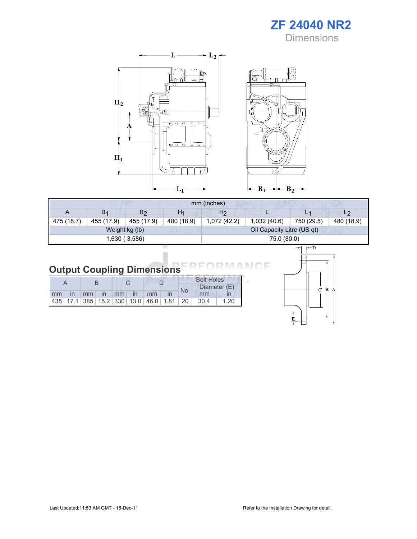

Ò



| mm (inches) |                |                |            |                |                            |            |                |  |  |
|-------------|----------------|----------------|------------|----------------|----------------------------|------------|----------------|--|--|
| A           | B <sub>1</sub> | B <sub>2</sub> | H1         | H <sub>2</sub> |                            | L1         | L <sub>2</sub> |  |  |
| 475 (18.7)  | 455 (17.9)     | 455 (17.9)     | 480 (18.9) | 1,072(42.2)    | 1,032 (40.6)               | 750 (29.5) | 480 (18.9)     |  |  |
|             |                | Weight kg (lb) |            |                | Oil Capacity Litre (US qt) |            |                |  |  |
|             |                | 1,630 (3,586)  |            |                | 75.0 (80.0)                |            |                |  |  |

#### Output Coupling Dimensions Е МC

|  |  |                       |  |  | <b>Bolt Holes</b> |                                                  |      |
|--|--|-----------------------|--|--|-------------------|--------------------------------------------------|------|
|  |  |                       |  |  | No.               | Diameter (E)                                     |      |
|  |  | Imm in mm in mm in mm |  |  |                   | mm                                               |      |
|  |  |                       |  |  |                   | $ 435 $ 17.1 385 15.2 330 13.0 46.0 1.81 20 30.4 | 1.20 |